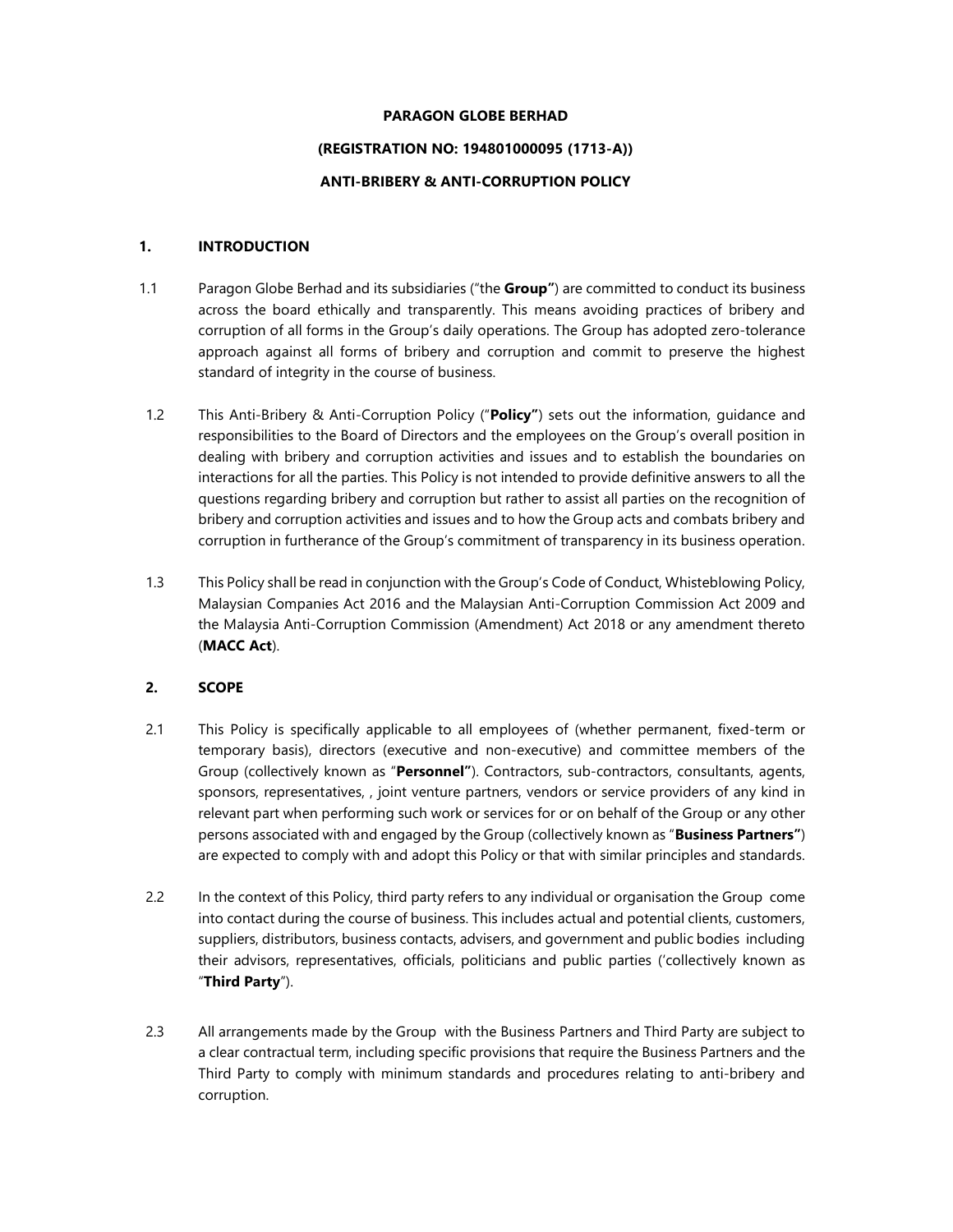#### PARAGON GLOBE BERHAD

### (REGISTRATION NO: 194801000095 (1713-A))

#### ANTI-BRIBERY & ANTI-CORRUPTION POLICY

#### 1. INTRODUCTION

- 1.1 Paragon Globe Berhad and its subsidiaries ("the Group") are committed to conduct its business across the board ethically and transparently. This means avoiding practices of bribery and corruption of all forms in the Group's daily operations. The Group has adopted zero-tolerance approach against all forms of bribery and corruption and commit to preserve the highest standard of integrity in the course of business.
- 1.2 This Anti-Bribery & Anti-Corruption Policy ("Policy") sets out the information, quidance and responsibilities to the Board of Directors and the employees on the Group's overall position in dealing with bribery and corruption activities and issues and to establish the boundaries on interactions for all the parties. This Policy is not intended to provide definitive answers to all the questions regarding bribery and corruption but rather to assist all parties on the recognition of bribery and corruption activities and issues and to how the Group acts and combats bribery and corruption in furtherance of the Group's commitment of transparency in its business operation.
- 1.3 This Policy shall be read in conjunction with the Group's Code of Conduct, Whisteblowing Policy, Malaysian Companies Act 2016 and the Malaysian Anti-Corruption Commission Act 2009 and the Malaysia Anti-Corruption Commission (Amendment) Act 2018 or any amendment thereto (MACC Act).

## 2. SCOPE

- 2.1 This Policy is specifically applicable to all employees of (whether permanent, fixed-term or temporary basis), directors (executive and non-executive) and committee members of the Group (collectively known as "Personnel"). Contractors, sub-contractors, consultants, agents, sponsors, representatives, , joint venture partners, vendors or service providers of any kind in relevant part when performing such work or services for or on behalf of the Group or any other persons associated with and engaged by the Group (collectively known as "Business Partners") are expected to comply with and adopt this Policy or that with similar principles and standards.
- 2.2 In the context of this Policy, third party refers to any individual or organisation the Group come into contact during the course of business. This includes actual and potential clients, customers, suppliers, distributors, business contacts, advisers, and government and public bodies including their advisors, representatives, officials, politicians and public parties ('collectively known as "Third Party").
- 2.3 All arrangements made by the Group with the Business Partners and Third Party are subject to a clear contractual term, including specific provisions that require the Business Partners and the Third Party to comply with minimum standards and procedures relating to anti-bribery and corruption.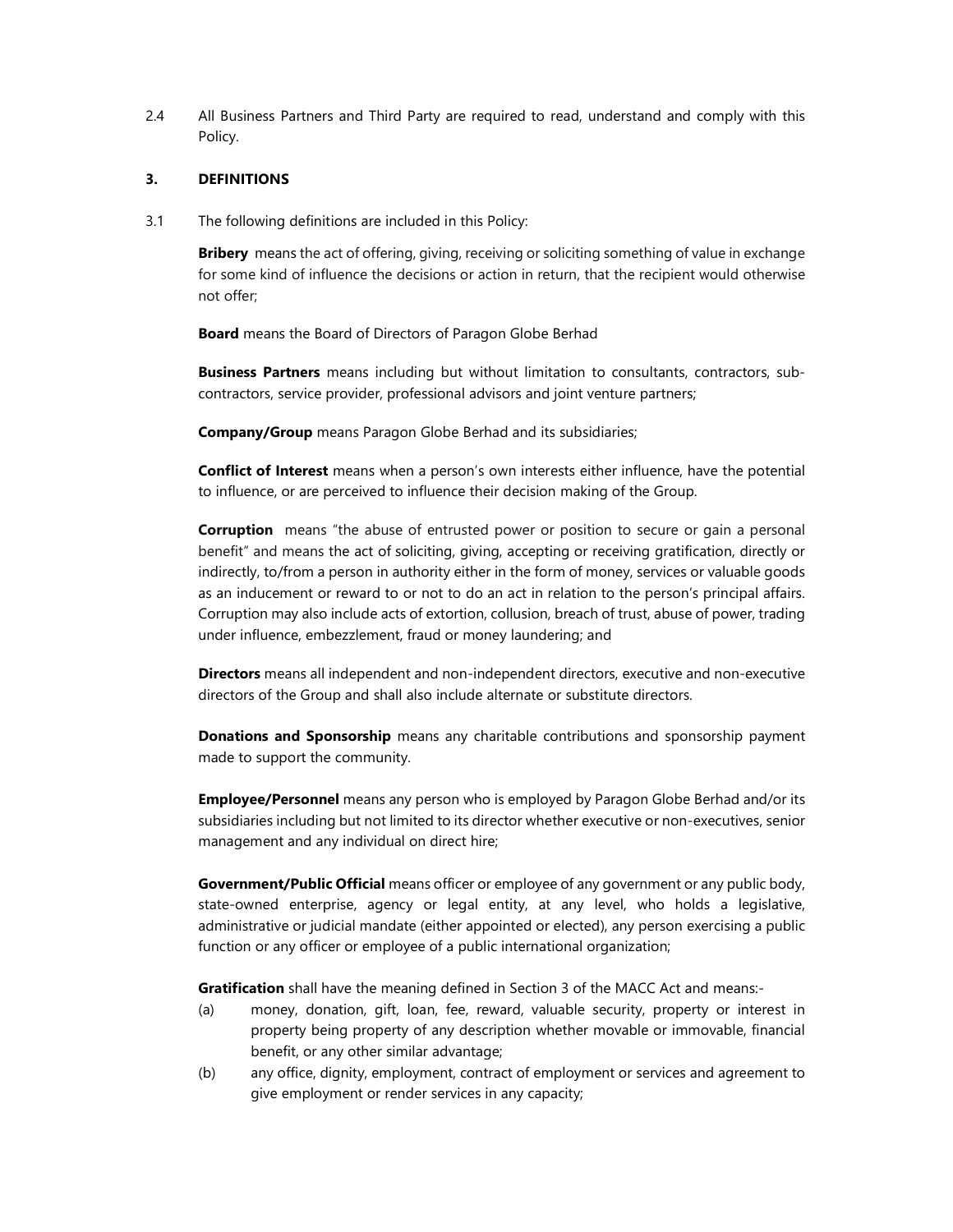2.4 All Business Partners and Third Party are required to read, understand and comply with this Policy.

#### 3. DEFINITIONS

3.1 The following definitions are included in this Policy:

**Bribery** means the act of offering, giving, receiving or soliciting something of value in exchange for some kind of influence the decisions or action in return, that the recipient would otherwise not offer;

Board means the Board of Directors of Paragon Globe Berhad

**Business Partners** means including but without limitation to consultants, contractors, subcontractors, service provider, professional advisors and joint venture partners;

Company/Group means Paragon Globe Berhad and its subsidiaries;

**Conflict of Interest** means when a person's own interests either influence, have the potential to influence, or are perceived to influence their decision making of the Group.

**Corruption** means "the abuse of entrusted power or position to secure or gain a personal benefit" and means the act of soliciting, giving, accepting or receiving gratification, directly or indirectly, to/from a person in authority either in the form of money, services or valuable goods as an inducement or reward to or not to do an act in relation to the person's principal affairs. Corruption may also include acts of extortion, collusion, breach of trust, abuse of power, trading under influence, embezzlement, fraud or money laundering; and

Directors means all independent and non-independent directors, executive and non-executive directors of the Group and shall also include alternate or substitute directors.

**Donations and Sponsorship** means any charitable contributions and sponsorship payment made to support the community.

**Employee/Personnel** means any person who is employed by Paragon Globe Berhad and/or its subsidiaries including but not limited to its director whether executive or non-executives, senior management and any individual on direct hire;

Government/Public Official means officer or employee of any government or any public body, state-owned enterprise, agency or legal entity, at any level, who holds a legislative, administrative or judicial mandate (either appointed or elected), any person exercising a public function or any officer or employee of a public international organization;

**Gratification** shall have the meaning defined in Section 3 of the MACC Act and means:-

- (a) money, donation, gift, loan, fee, reward, valuable security, property or interest in property being property of any description whether movable or immovable, financial benefit, or any other similar advantage;
- (b) any office, dignity, employment, contract of employment or services and agreement to give employment or render services in any capacity;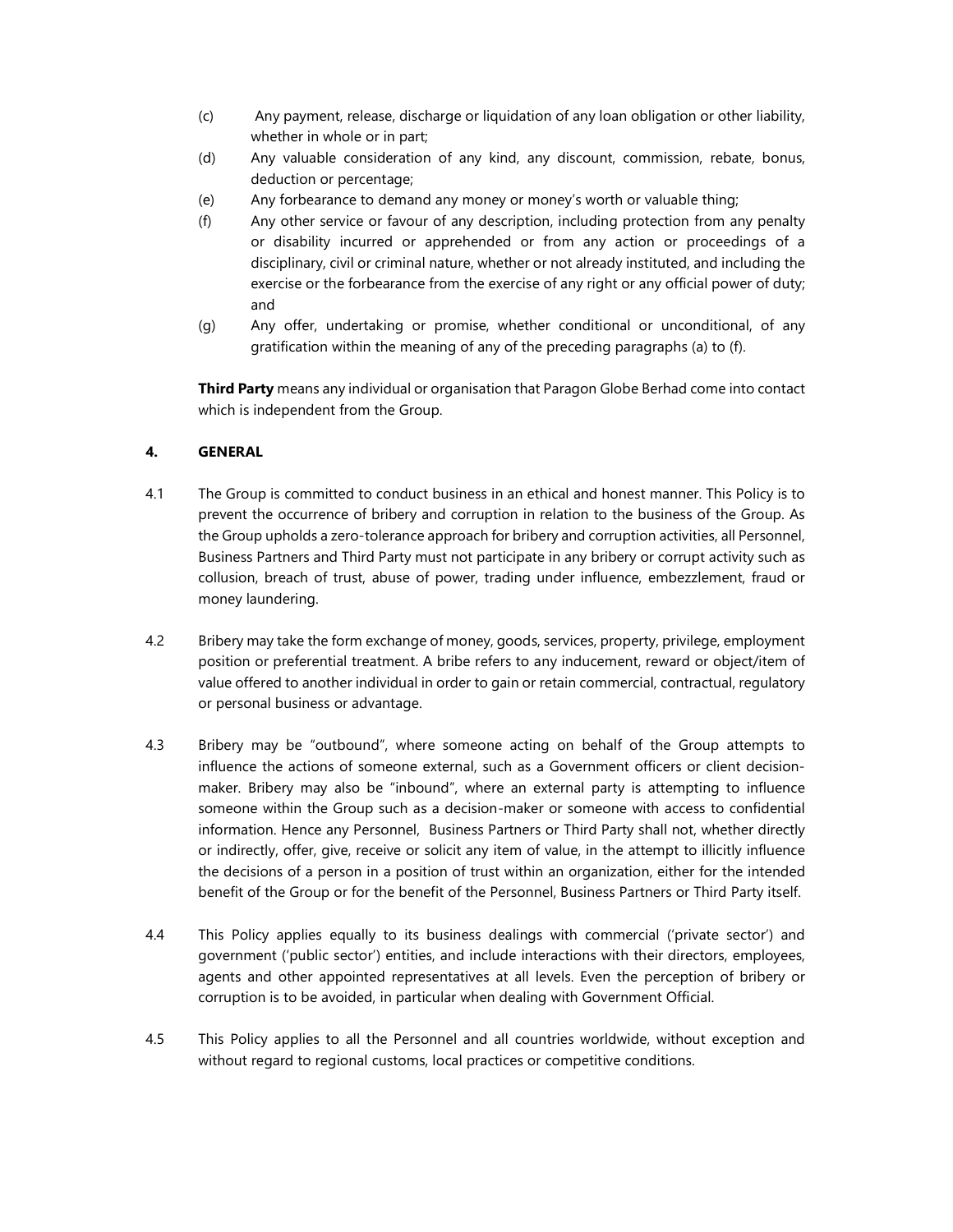- (c) Any payment, release, discharge or liquidation of any loan obligation or other liability, whether in whole or in part;
- (d) Any valuable consideration of any kind, any discount, commission, rebate, bonus, deduction or percentage;
- (e) Any forbearance to demand any money or money's worth or valuable thing;
- (f) Any other service or favour of any description, including protection from any penalty or disability incurred or apprehended or from any action or proceedings of a disciplinary, civil or criminal nature, whether or not already instituted, and including the exercise or the forbearance from the exercise of any right or any official power of duty; and
- (g) Any offer, undertaking or promise, whether conditional or unconditional, of any gratification within the meaning of any of the preceding paragraphs (a) to (f).

**Third Party** means any individual or organisation that Paragon Globe Berhad come into contact which is independent from the Group.

### 4. GENERAL

- 4.1 The Group is committed to conduct business in an ethical and honest manner. This Policy is to prevent the occurrence of bribery and corruption in relation to the business of the Group. As the Group upholds a zero-tolerance approach for bribery and corruption activities, all Personnel, Business Partners and Third Party must not participate in any bribery or corrupt activity such as collusion, breach of trust, abuse of power, trading under influence, embezzlement, fraud or money laundering.
- 4.2 Bribery may take the form exchange of money, goods, services, property, privilege, employment position or preferential treatment. A bribe refers to any inducement, reward or object/item of value offered to another individual in order to gain or retain commercial, contractual, regulatory or personal business or advantage.
- 4.3 Bribery may be "outbound", where someone acting on behalf of the Group attempts to influence the actions of someone external, such as a Government officers or client decisionmaker. Bribery may also be "inbound", where an external party is attempting to influence someone within the Group such as a decision-maker or someone with access to confidential information. Hence any Personnel, Business Partners or Third Party shall not, whether directly or indirectly, offer, give, receive or solicit any item of value, in the attempt to illicitly influence the decisions of a person in a position of trust within an organization, either for the intended benefit of the Group or for the benefit of the Personnel, Business Partners or Third Party itself.
- 4.4 This Policy applies equally to its business dealings with commercial ('private sector') and government ('public sector') entities, and include interactions with their directors, employees, agents and other appointed representatives at all levels. Even the perception of bribery or corruption is to be avoided, in particular when dealing with Government Official.
- 4.5 This Policy applies to all the Personnel and all countries worldwide, without exception and without regard to regional customs, local practices or competitive conditions.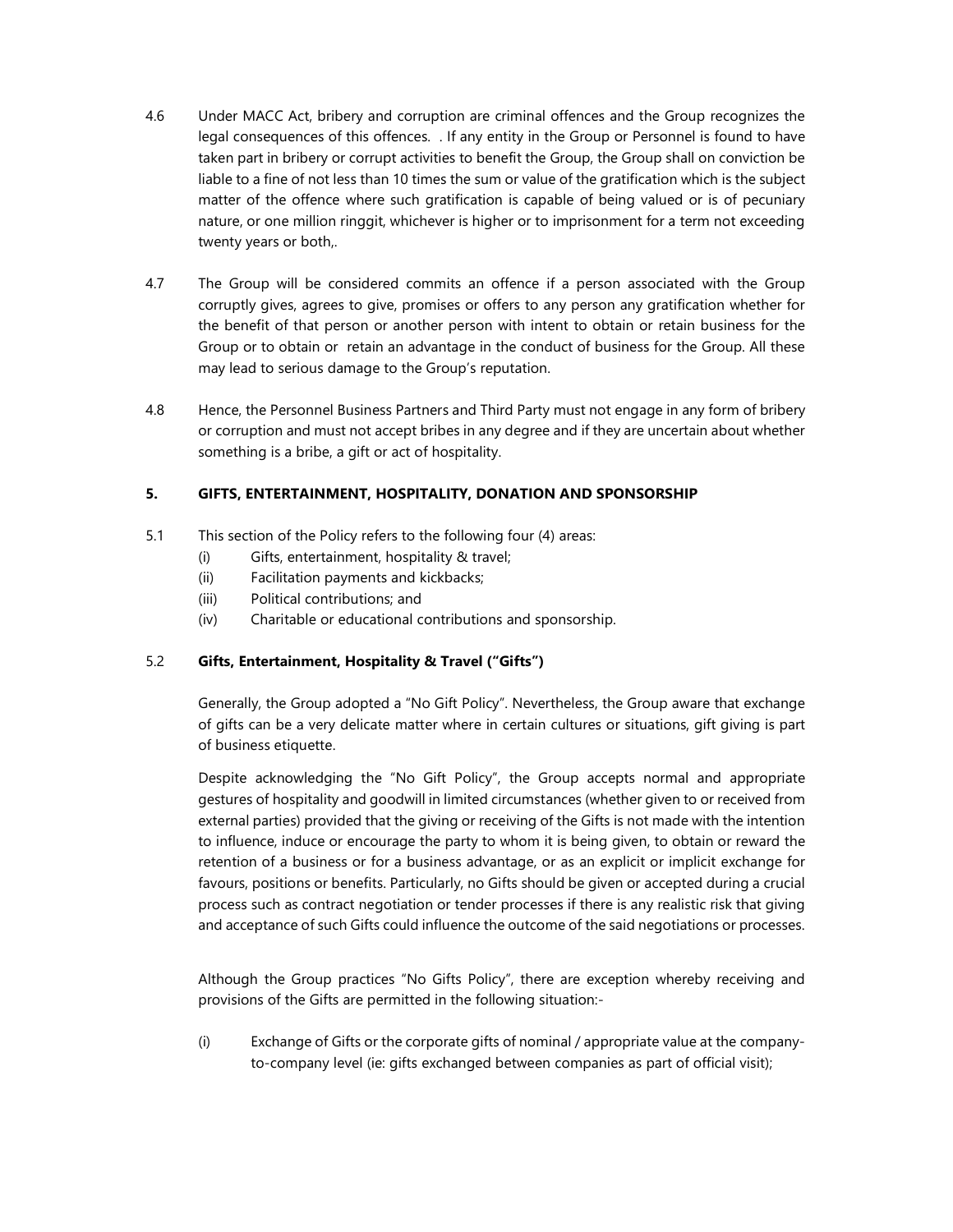- 4.6 Under MACC Act, bribery and corruption are criminal offences and the Group recognizes the legal consequences of this offences. . If any entity in the Group or Personnel is found to have taken part in bribery or corrupt activities to benefit the Group, the Group shall on conviction be liable to a fine of not less than 10 times the sum or value of the gratification which is the subject matter of the offence where such gratification is capable of being valued or is of pecuniary nature, or one million ringgit, whichever is higher or to imprisonment for a term not exceeding twenty years or both,.
- 4.7 The Group will be considered commits an offence if a person associated with the Group corruptly gives, agrees to give, promises or offers to any person any gratification whether for the benefit of that person or another person with intent to obtain or retain business for the Group or to obtain or retain an advantage in the conduct of business for the Group. All these may lead to serious damage to the Group's reputation.
- 4.8 Hence, the Personnel Business Partners and Third Party must not engage in any form of bribery or corruption and must not accept bribes in any degree and if they are uncertain about whether something is a bribe, a gift or act of hospitality.

### 5. GIFTS, ENTERTAINMENT, HOSPITALITY, DONATION AND SPONSORSHIP

- 5.1 This section of the Policy refers to the following four (4) areas:
	- (i) Gifts, entertainment, hospitality & travel;
	- (ii) Facilitation payments and kickbacks;
	- (iii) Political contributions; and
	- (iv) Charitable or educational contributions and sponsorship.

#### 5.2 Gifts, Entertainment, Hospitality & Travel ("Gifts")

Generally, the Group adopted a "No Gift Policy". Nevertheless, the Group aware that exchange of gifts can be a very delicate matter where in certain cultures or situations, gift giving is part of business etiquette.

Despite acknowledging the "No Gift Policy", the Group accepts normal and appropriate gestures of hospitality and goodwill in limited circumstances (whether given to or received from external parties) provided that the giving or receiving of the Gifts is not made with the intention to influence, induce or encourage the party to whom it is being given, to obtain or reward the retention of a business or for a business advantage, or as an explicit or implicit exchange for favours, positions or benefits. Particularly, no Gifts should be given or accepted during a crucial process such as contract negotiation or tender processes if there is any realistic risk that giving and acceptance of such Gifts could influence the outcome of the said negotiations or processes.

Although the Group practices "No Gifts Policy", there are exception whereby receiving and provisions of the Gifts are permitted in the following situation:-

(i) Exchange of Gifts or the corporate gifts of nominal / appropriate value at the companyto-company level (ie: gifts exchanged between companies as part of official visit);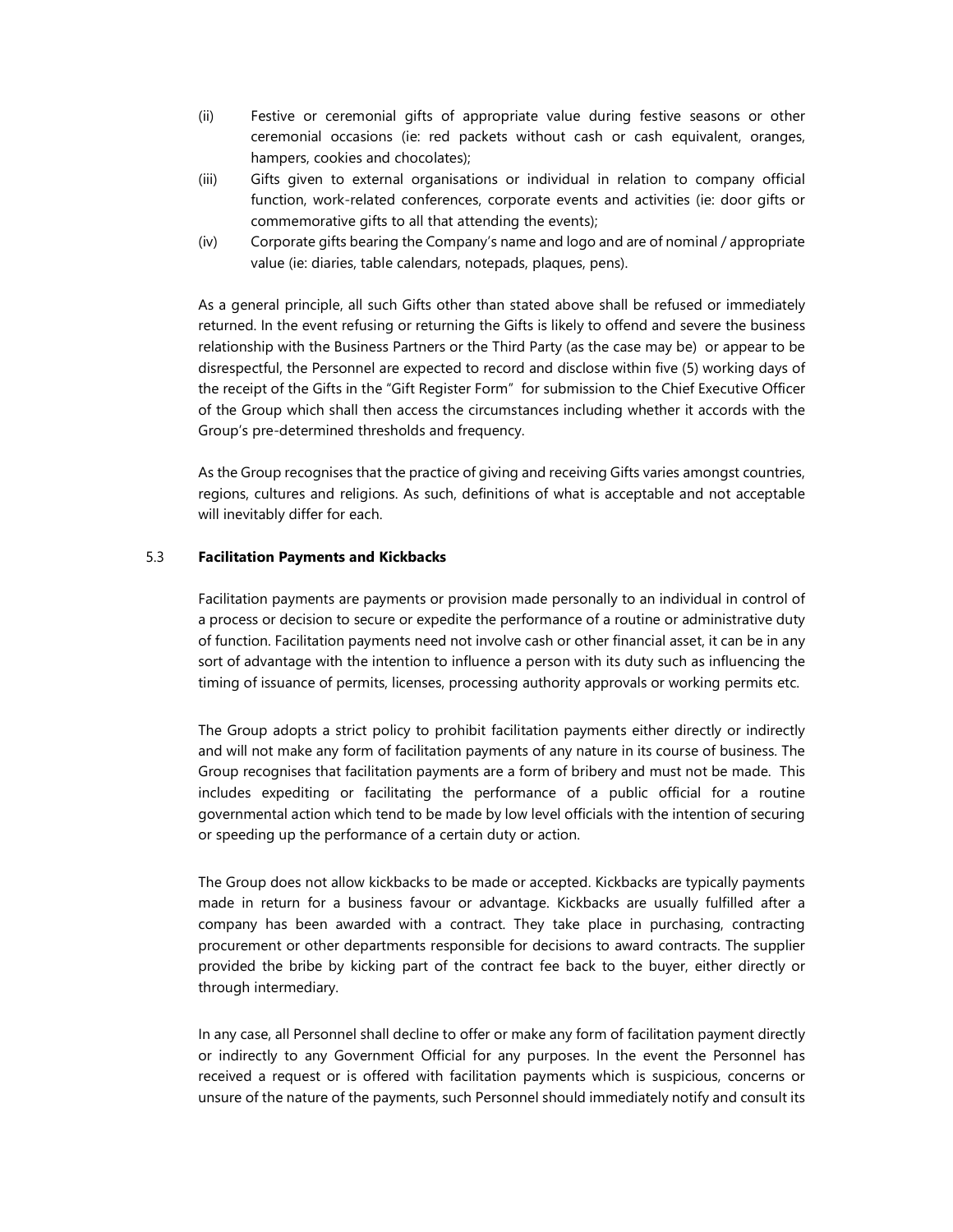- (ii) Festive or ceremonial gifts of appropriate value during festive seasons or other ceremonial occasions (ie: red packets without cash or cash equivalent, oranges, hampers, cookies and chocolates);
- (iii) Gifts given to external organisations or individual in relation to company official function, work-related conferences, corporate events and activities (ie: door gifts or commemorative gifts to all that attending the events);
- (iv) Corporate gifts bearing the Company's name and logo and are of nominal / appropriate value (ie: diaries, table calendars, notepads, plaques, pens).

As a general principle, all such Gifts other than stated above shall be refused or immediately returned. In the event refusing or returning the Gifts is likely to offend and severe the business relationship with the Business Partners or the Third Party (as the case may be) or appear to be disrespectful, the Personnel are expected to record and disclose within five (5) working days of the receipt of the Gifts in the "Gift Register Form" for submission to the Chief Executive Officer of the Group which shall then access the circumstances including whether it accords with the Group's pre-determined thresholds and frequency.

As the Group recognises that the practice of giving and receiving Gifts varies amongst countries, regions, cultures and religions. As such, definitions of what is acceptable and not acceptable will inevitably differ for each.

#### 5.3 Facilitation Payments and Kickbacks

Facilitation payments are payments or provision made personally to an individual in control of a process or decision to secure or expedite the performance of a routine or administrative duty of function. Facilitation payments need not involve cash or other financial asset, it can be in any sort of advantage with the intention to influence a person with its duty such as influencing the timing of issuance of permits, licenses, processing authority approvals or working permits etc.

The Group adopts a strict policy to prohibit facilitation payments either directly or indirectly and will not make any form of facilitation payments of any nature in its course of business. The Group recognises that facilitation payments are a form of bribery and must not be made. This includes expediting or facilitating the performance of a public official for a routine governmental action which tend to be made by low level officials with the intention of securing or speeding up the performance of a certain duty or action.

The Group does not allow kickbacks to be made or accepted. Kickbacks are typically payments made in return for a business favour or advantage. Kickbacks are usually fulfilled after a company has been awarded with a contract. They take place in purchasing, contracting procurement or other departments responsible for decisions to award contracts. The supplier provided the bribe by kicking part of the contract fee back to the buyer, either directly or through intermediary.

In any case, all Personnel shall decline to offer or make any form of facilitation payment directly or indirectly to any Government Official for any purposes. In the event the Personnel has received a request or is offered with facilitation payments which is suspicious, concerns or unsure of the nature of the payments, such Personnel should immediately notify and consult its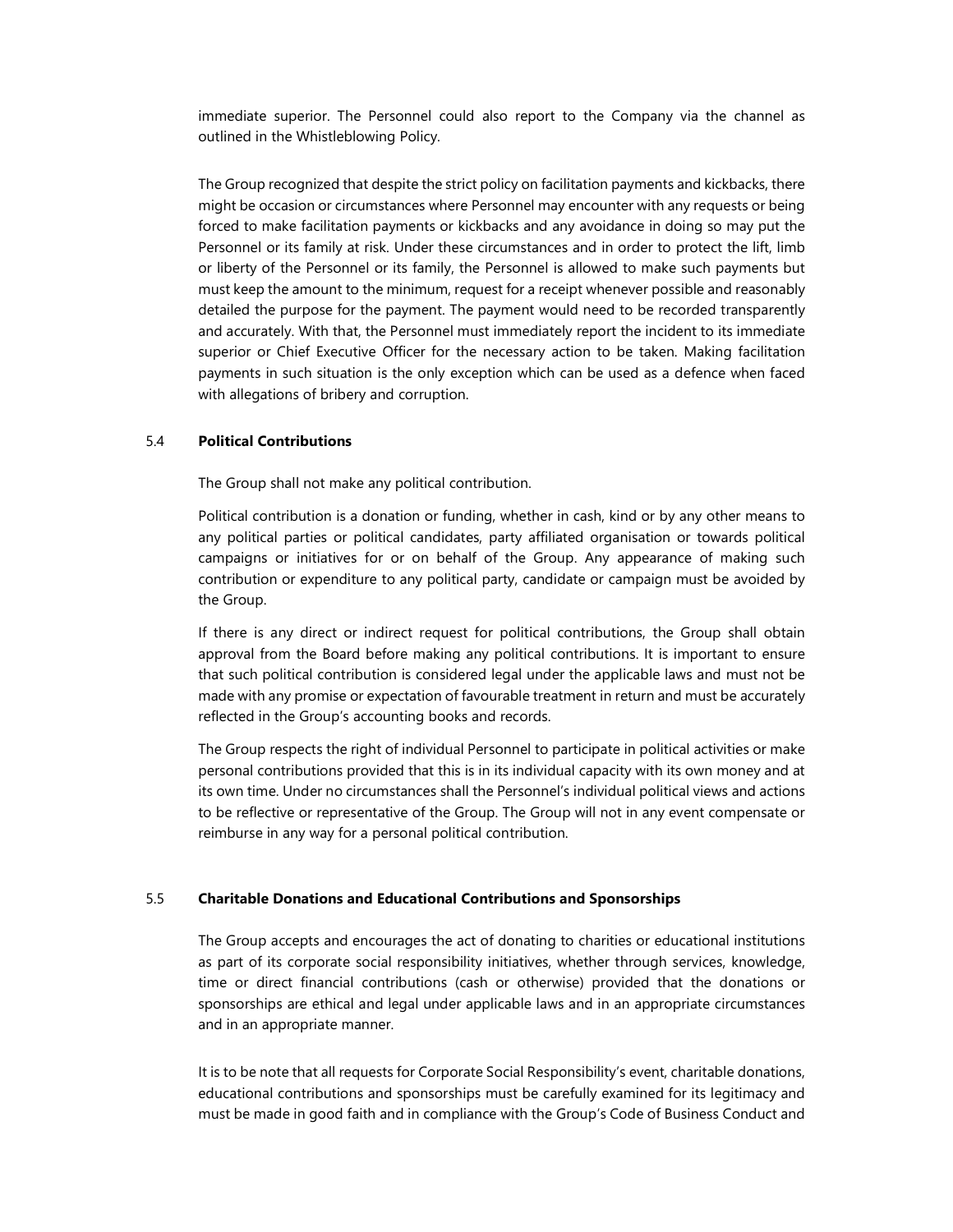immediate superior. The Personnel could also report to the Company via the channel as outlined in the Whistleblowing Policy.

The Group recognized that despite the strict policy on facilitation payments and kickbacks, there might be occasion or circumstances where Personnel may encounter with any requests or being forced to make facilitation payments or kickbacks and any avoidance in doing so may put the Personnel or its family at risk. Under these circumstances and in order to protect the lift, limb or liberty of the Personnel or its family, the Personnel is allowed to make such payments but must keep the amount to the minimum, request for a receipt whenever possible and reasonably detailed the purpose for the payment. The payment would need to be recorded transparently and accurately. With that, the Personnel must immediately report the incident to its immediate superior or Chief Executive Officer for the necessary action to be taken. Making facilitation payments in such situation is the only exception which can be used as a defence when faced with allegations of bribery and corruption.

#### 5.4 Political Contributions

The Group shall not make any political contribution.

Political contribution is a donation or funding, whether in cash, kind or by any other means to any political parties or political candidates, party affiliated organisation or towards political campaigns or initiatives for or on behalf of the Group. Any appearance of making such contribution or expenditure to any political party, candidate or campaign must be avoided by the Group.

If there is any direct or indirect request for political contributions, the Group shall obtain approval from the Board before making any political contributions. It is important to ensure that such political contribution is considered legal under the applicable laws and must not be made with any promise or expectation of favourable treatment in return and must be accurately reflected in the Group's accounting books and records.

The Group respects the right of individual Personnel to participate in political activities or make personal contributions provided that this is in its individual capacity with its own money and at its own time. Under no circumstances shall the Personnel's individual political views and actions to be reflective or representative of the Group. The Group will not in any event compensate or reimburse in any way for a personal political contribution.

#### 5.5 Charitable Donations and Educational Contributions and Sponsorships

The Group accepts and encourages the act of donating to charities or educational institutions as part of its corporate social responsibility initiatives, whether through services, knowledge, time or direct financial contributions (cash or otherwise) provided that the donations or sponsorships are ethical and legal under applicable laws and in an appropriate circumstances and in an appropriate manner.

It is to be note that all requests for Corporate Social Responsibility's event, charitable donations, educational contributions and sponsorships must be carefully examined for its legitimacy and must be made in good faith and in compliance with the Group's Code of Business Conduct and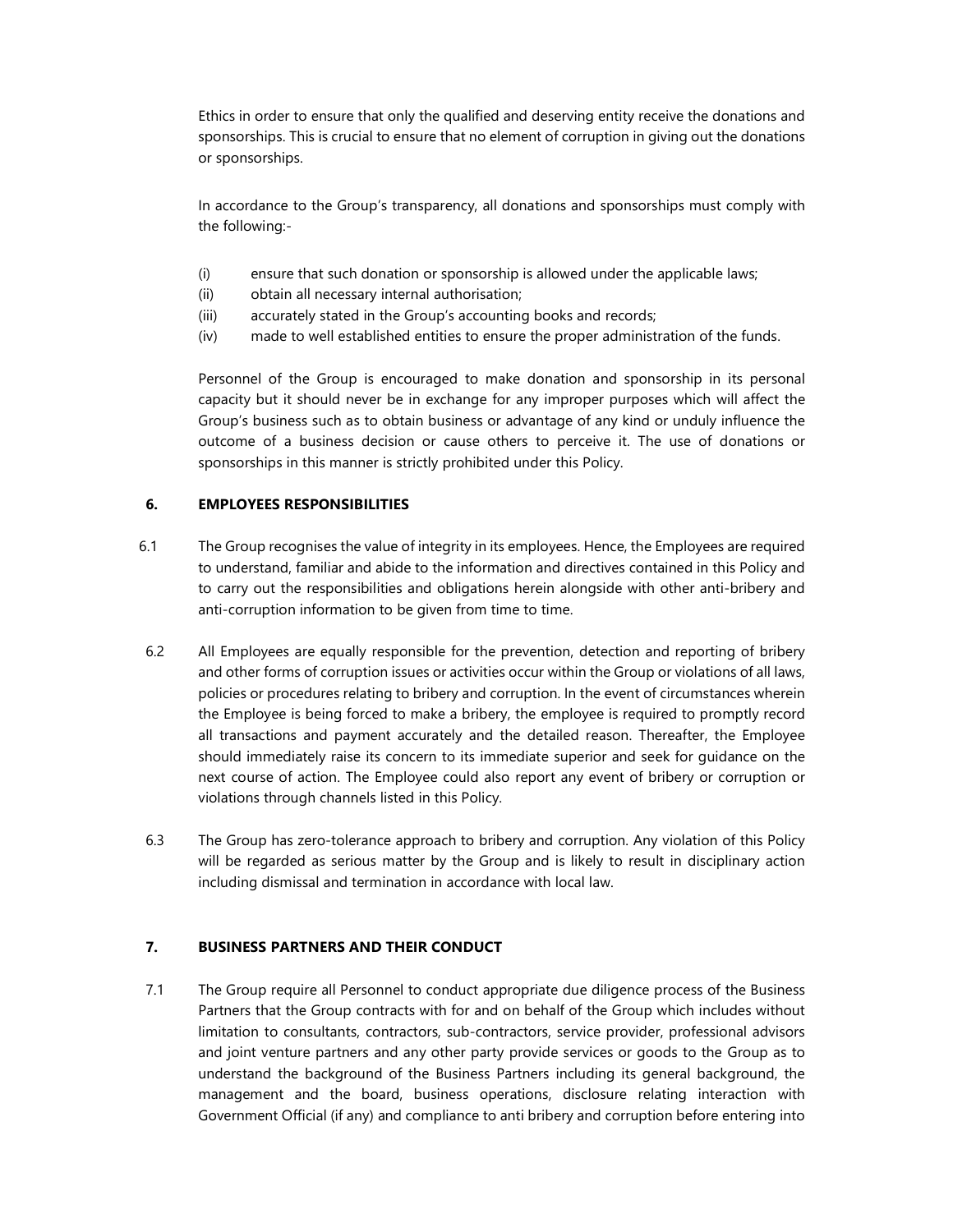Ethics in order to ensure that only the qualified and deserving entity receive the donations and sponsorships. This is crucial to ensure that no element of corruption in giving out the donations or sponsorships.

In accordance to the Group's transparency, all donations and sponsorships must comply with the following:-

- (i) ensure that such donation or sponsorship is allowed under the applicable laws;
- (ii) obtain all necessary internal authorisation;
- (iii) accurately stated in the Group's accounting books and records;
- (iv) made to well established entities to ensure the proper administration of the funds.

Personnel of the Group is encouraged to make donation and sponsorship in its personal capacity but it should never be in exchange for any improper purposes which will affect the Group's business such as to obtain business or advantage of any kind or unduly influence the outcome of a business decision or cause others to perceive it. The use of donations or sponsorships in this manner is strictly prohibited under this Policy.

### 6. EMPLOYEES RESPONSIBILITIES

- 6.1 The Group recognises the value of integrity in its employees. Hence, the Employees are required to understand, familiar and abide to the information and directives contained in this Policy and to carry out the responsibilities and obligations herein alongside with other anti-bribery and anti-corruption information to be given from time to time.
- 6.2 All Employees are equally responsible for the prevention, detection and reporting of bribery and other forms of corruption issues or activities occur within the Group or violations of all laws, policies or procedures relating to bribery and corruption. In the event of circumstances wherein the Employee is being forced to make a bribery, the employee is required to promptly record all transactions and payment accurately and the detailed reason. Thereafter, the Employee should immediately raise its concern to its immediate superior and seek for guidance on the next course of action. The Employee could also report any event of bribery or corruption or violations through channels listed in this Policy.
- 6.3 The Group has zero-tolerance approach to bribery and corruption. Any violation of this Policy will be regarded as serious matter by the Group and is likely to result in disciplinary action including dismissal and termination in accordance with local law.

## 7. BUSINESS PARTNERS AND THEIR CONDUCT

7.1 The Group require all Personnel to conduct appropriate due diligence process of the Business Partners that the Group contracts with for and on behalf of the Group which includes without limitation to consultants, contractors, sub-contractors, service provider, professional advisors and joint venture partners and any other party provide services or goods to the Group as to understand the background of the Business Partners including its general background, the management and the board, business operations, disclosure relating interaction with Government Official (if any) and compliance to anti bribery and corruption before entering into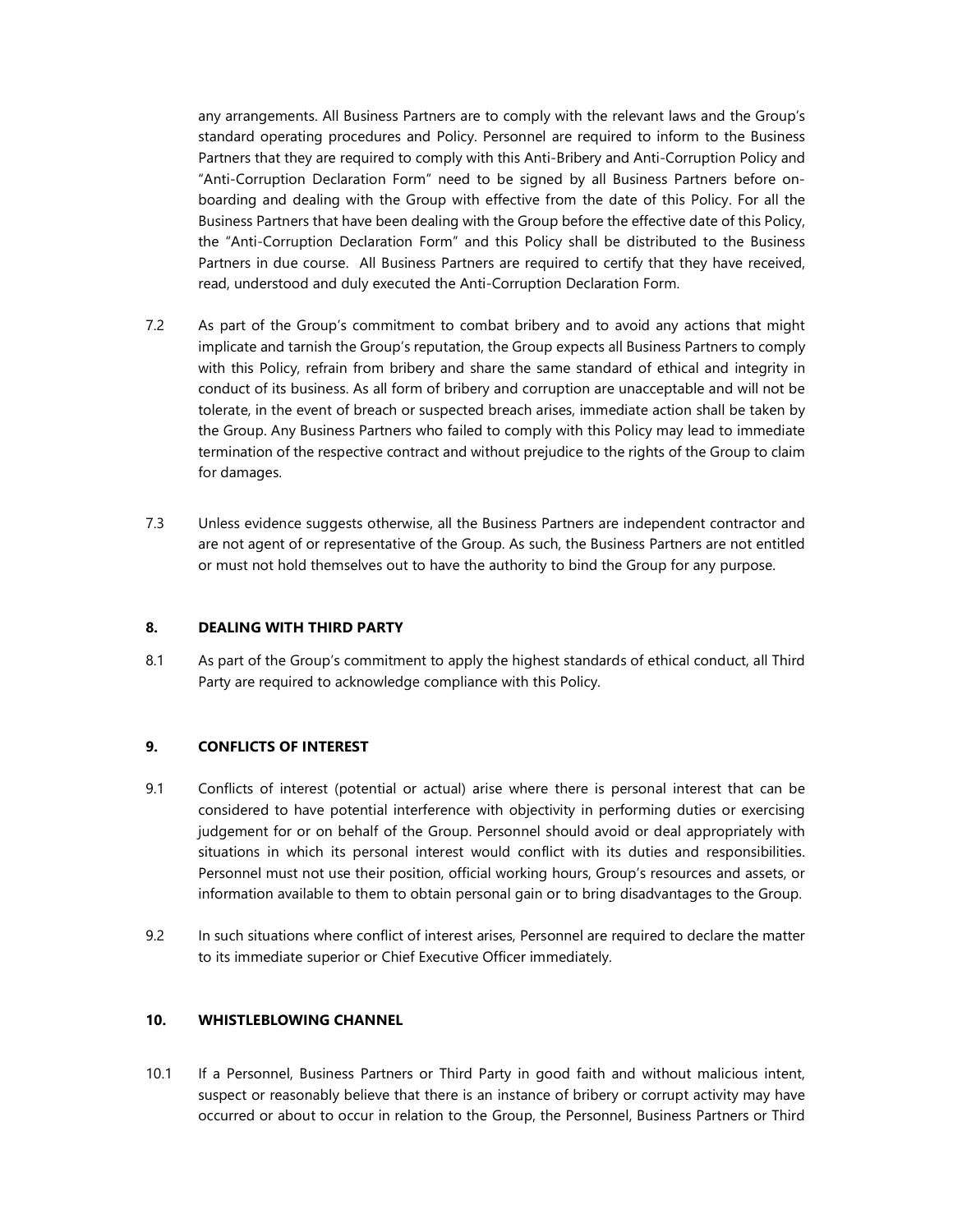any arrangements. All Business Partners are to comply with the relevant laws and the Group's standard operating procedures and Policy. Personnel are required to inform to the Business Partners that they are required to comply with this Anti-Bribery and Anti-Corruption Policy and "Anti-Corruption Declaration Form" need to be signed by all Business Partners before onboarding and dealing with the Group with effective from the date of this Policy. For all the Business Partners that have been dealing with the Group before the effective date of this Policy, the "Anti-Corruption Declaration Form" and this Policy shall be distributed to the Business Partners in due course. All Business Partners are required to certify that they have received, read, understood and duly executed the Anti-Corruption Declaration Form.

- 7.2 As part of the Group's commitment to combat bribery and to avoid any actions that might implicate and tarnish the Group's reputation, the Group expects all Business Partners to comply with this Policy, refrain from bribery and share the same standard of ethical and integrity in conduct of its business. As all form of bribery and corruption are unacceptable and will not be tolerate, in the event of breach or suspected breach arises, immediate action shall be taken by the Group. Any Business Partners who failed to comply with this Policy may lead to immediate termination of the respective contract and without prejudice to the rights of the Group to claim for damages.
- 7.3 Unless evidence suggests otherwise, all the Business Partners are independent contractor and are not agent of or representative of the Group. As such, the Business Partners are not entitled or must not hold themselves out to have the authority to bind the Group for any purpose.

#### 8. DEALING WITH THIRD PARTY

8.1 As part of the Group's commitment to apply the highest standards of ethical conduct, all Third Party are required to acknowledge compliance with this Policy.

#### 9. CONFLICTS OF INTEREST

- 9.1 Conflicts of interest (potential or actual) arise where there is personal interest that can be considered to have potential interference with objectivity in performing duties or exercising judgement for or on behalf of the Group. Personnel should avoid or deal appropriately with situations in which its personal interest would conflict with its duties and responsibilities. Personnel must not use their position, official working hours, Group's resources and assets, or information available to them to obtain personal gain or to bring disadvantages to the Group.
- 9.2 In such situations where conflict of interest arises, Personnel are required to declare the matter to its immediate superior or Chief Executive Officer immediately.

#### 10. WHISTLEBLOWING CHANNEL

10.1 If a Personnel, Business Partners or Third Party in good faith and without malicious intent, suspect or reasonably believe that there is an instance of bribery or corrupt activity may have occurred or about to occur in relation to the Group, the Personnel, Business Partners or Third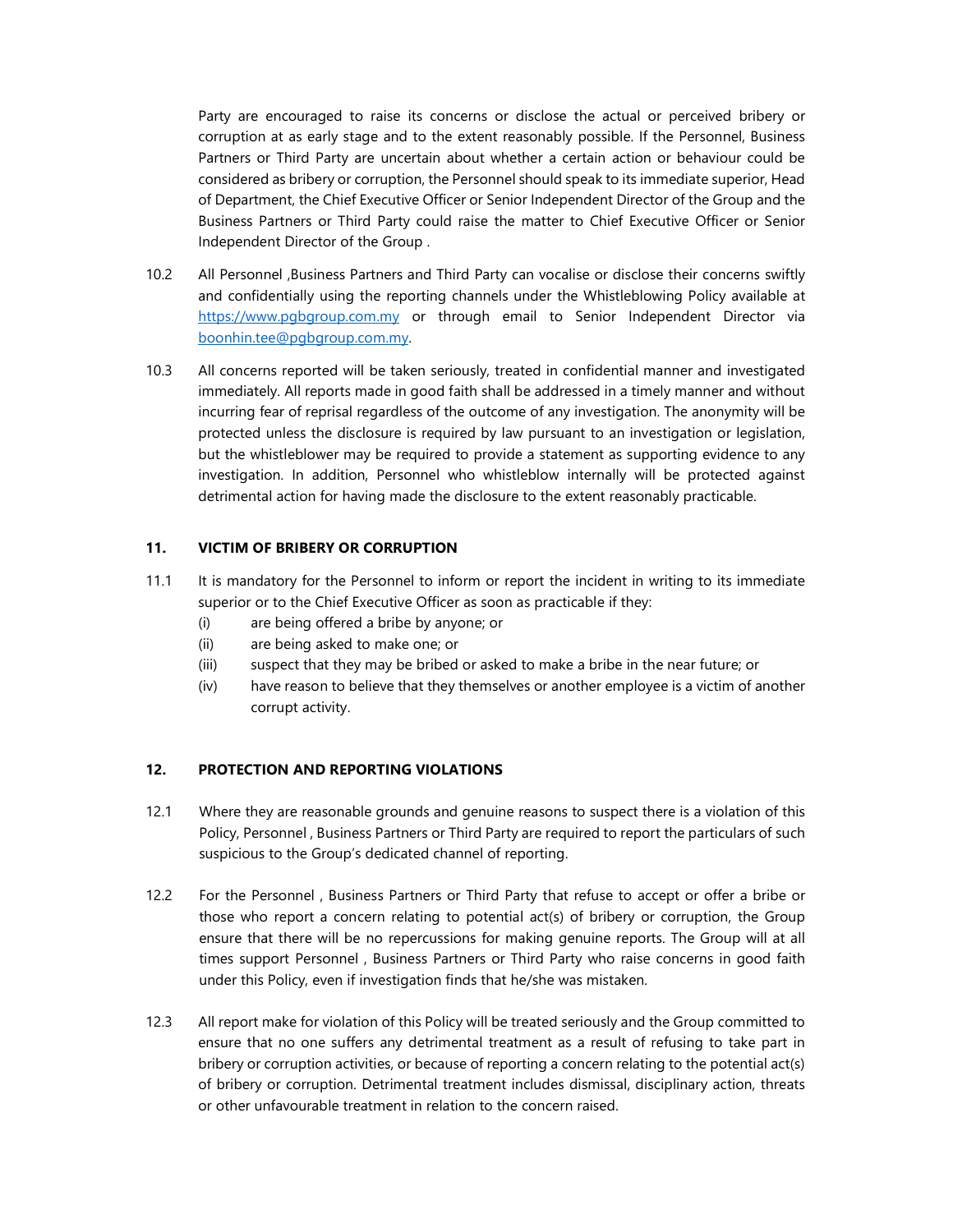Party are encouraged to raise its concerns or disclose the actual or perceived bribery or corruption at as early stage and to the extent reasonably possible. If the Personnel, Business Partners or Third Party are uncertain about whether a certain action or behaviour could be considered as bribery or corruption, the Personnel should speak to its immediate superior, Head of Department, the Chief Executive Officer or Senior Independent Director of the Group and the Business Partners or Third Party could raise the matter to Chief Executive Officer or Senior Independent Director of the Group .

- 10.2 All Personnel ,Business Partners and Third Party can vocalise or disclose their concerns swiftly and confidentially using the reporting channels under the Whistleblowing Policy available at https://www.pgbgroup.com.my or through email to Senior Independent Director via boonhin.tee@pgbgroup.com.my.
- 10.3 All concerns reported will be taken seriously, treated in confidential manner and investigated immediately. All reports made in good faith shall be addressed in a timely manner and without incurring fear of reprisal regardless of the outcome of any investigation. The anonymity will be protected unless the disclosure is required by law pursuant to an investigation or legislation, but the whistleblower may be required to provide a statement as supporting evidence to any investigation. In addition, Personnel who whistleblow internally will be protected against detrimental action for having made the disclosure to the extent reasonably practicable.

### 11. VICTIM OF BRIBERY OR CORRUPTION

- 11.1 It is mandatory for the Personnel to inform or report the incident in writing to its immediate superior or to the Chief Executive Officer as soon as practicable if they:
	- (i) are being offered a bribe by anyone; or
	- (ii) are being asked to make one; or
	- (iii) suspect that they may be bribed or asked to make a bribe in the near future; or
	- (iv) have reason to believe that they themselves or another employee is a victim of another corrupt activity.

### 12. PROTECTION AND REPORTING VIOLATIONS

- 12.1 Where they are reasonable grounds and genuine reasons to suspect there is a violation of this Policy, Personnel , Business Partners or Third Party are required to report the particulars of such suspicious to the Group's dedicated channel of reporting.
- 12.2 For the Personnel , Business Partners or Third Party that refuse to accept or offer a bribe or those who report a concern relating to potential act(s) of bribery or corruption, the Group ensure that there will be no repercussions for making genuine reports. The Group will at all times support Personnel , Business Partners or Third Party who raise concerns in good faith under this Policy, even if investigation finds that he/she was mistaken.
- 12.3 All report make for violation of this Policy will be treated seriously and the Group committed to ensure that no one suffers any detrimental treatment as a result of refusing to take part in bribery or corruption activities, or because of reporting a concern relating to the potential act(s) of bribery or corruption. Detrimental treatment includes dismissal, disciplinary action, threats or other unfavourable treatment in relation to the concern raised.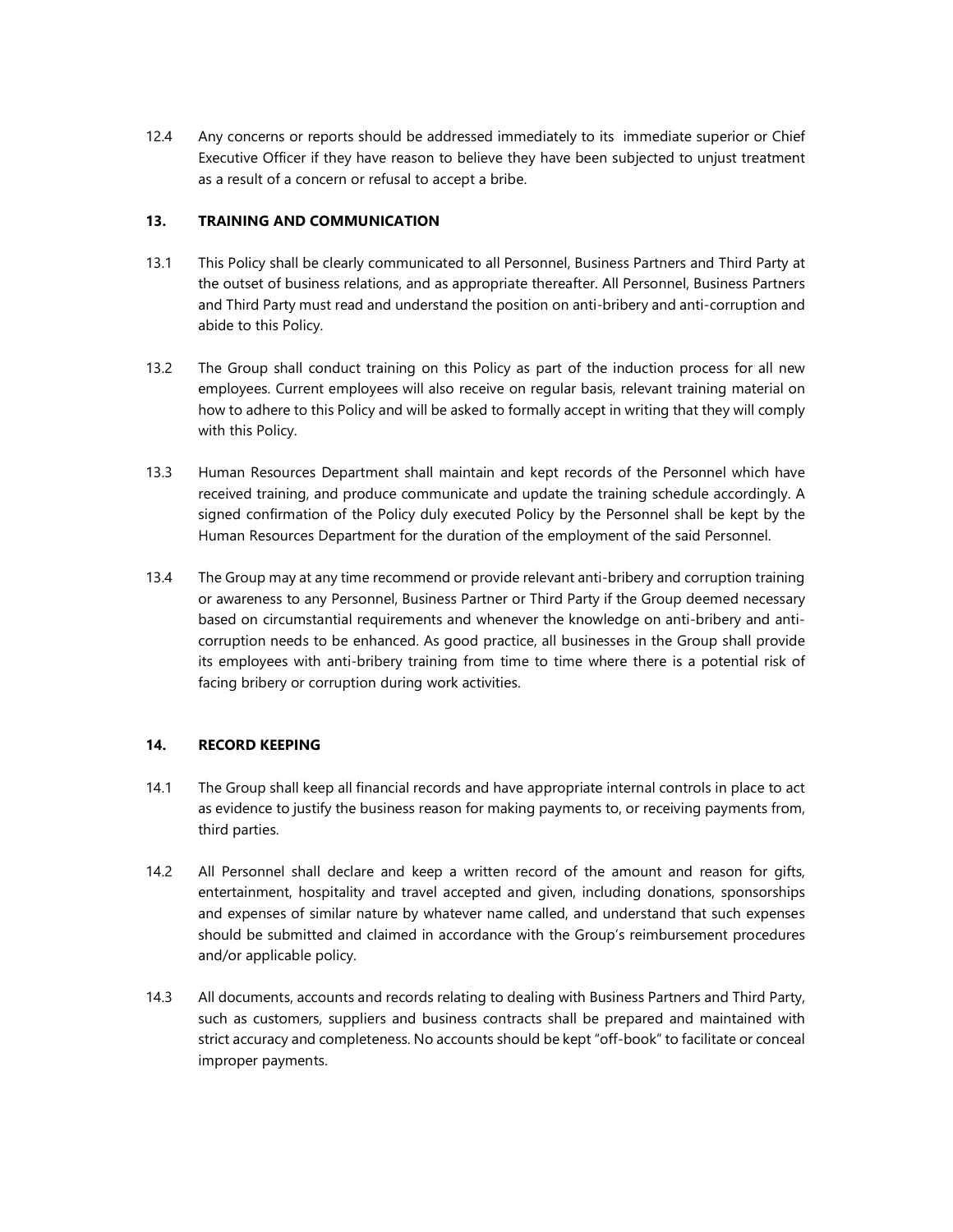12.4 Any concerns or reports should be addressed immediately to its immediate superior or Chief Executive Officer if they have reason to believe they have been subjected to unjust treatment as a result of a concern or refusal to accept a bribe.

#### 13. TRAINING AND COMMUNICATION

- 13.1 This Policy shall be clearly communicated to all Personnel, Business Partners and Third Party at the outset of business relations, and as appropriate thereafter. All Personnel, Business Partners and Third Party must read and understand the position on anti-bribery and anti-corruption and abide to this Policy.
- 13.2 The Group shall conduct training on this Policy as part of the induction process for all new employees. Current employees will also receive on regular basis, relevant training material on how to adhere to this Policy and will be asked to formally accept in writing that they will comply with this Policy.
- 13.3 Human Resources Department shall maintain and kept records of the Personnel which have received training, and produce communicate and update the training schedule accordingly. A signed confirmation of the Policy duly executed Policy by the Personnel shall be kept by the Human Resources Department for the duration of the employment of the said Personnel.
- 13.4 The Group may at any time recommend or provide relevant anti-bribery and corruption training or awareness to any Personnel, Business Partner or Third Party if the Group deemed necessary based on circumstantial requirements and whenever the knowledge on anti-bribery and anticorruption needs to be enhanced. As good practice, all businesses in the Group shall provide its employees with anti-bribery training from time to time where there is a potential risk of facing bribery or corruption during work activities.

## 14. RECORD KEEPING

- 14.1 The Group shall keep all financial records and have appropriate internal controls in place to act as evidence to justify the business reason for making payments to, or receiving payments from, third parties.
- 14.2 All Personnel shall declare and keep a written record of the amount and reason for gifts, entertainment, hospitality and travel accepted and given, including donations, sponsorships and expenses of similar nature by whatever name called, and understand that such expenses should be submitted and claimed in accordance with the Group's reimbursement procedures and/or applicable policy.
- 14.3 All documents, accounts and records relating to dealing with Business Partners and Third Party, such as customers, suppliers and business contracts shall be prepared and maintained with strict accuracy and completeness. No accounts should be kept "off-book" to facilitate or conceal improper payments.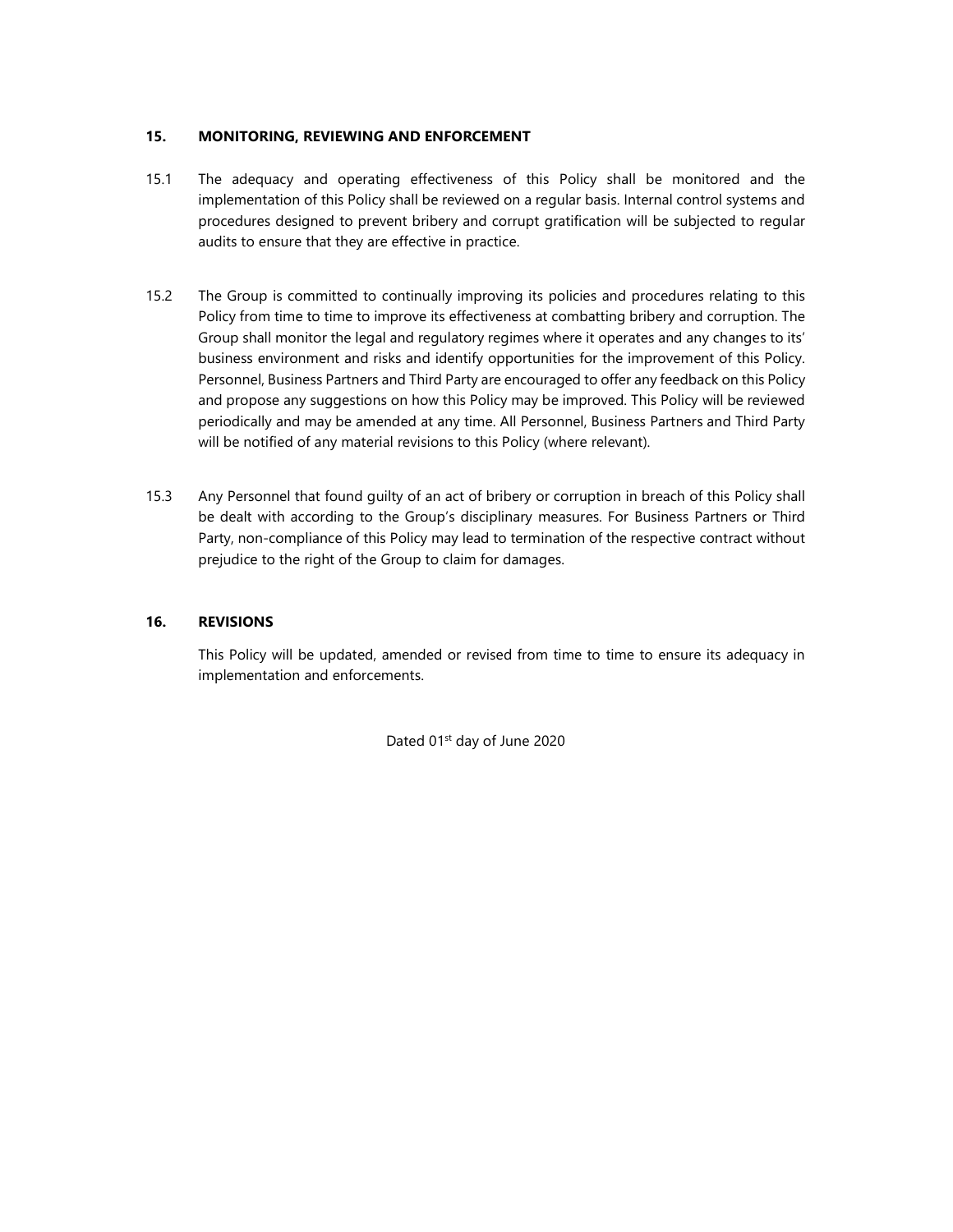### 15. MONITORING, REVIEWING AND ENFORCEMENT

- 15.1 The adequacy and operating effectiveness of this Policy shall be monitored and the implementation of this Policy shall be reviewed on a regular basis. Internal control systems and procedures designed to prevent bribery and corrupt gratification will be subjected to regular audits to ensure that they are effective in practice.
- 15.2 The Group is committed to continually improving its policies and procedures relating to this Policy from time to time to improve its effectiveness at combatting bribery and corruption. The Group shall monitor the legal and regulatory regimes where it operates and any changes to its' business environment and risks and identify opportunities for the improvement of this Policy. Personnel, Business Partners and Third Party are encouraged to offer any feedback on this Policy and propose any suggestions on how this Policy may be improved. This Policy will be reviewed periodically and may be amended at any time. All Personnel, Business Partners and Third Party will be notified of any material revisions to this Policy (where relevant).
- 15.3 Any Personnel that found guilty of an act of bribery or corruption in breach of this Policy shall be dealt with according to the Group's disciplinary measures. For Business Partners or Third Party, non-compliance of this Policy may lead to termination of the respective contract without prejudice to the right of the Group to claim for damages.

### 16. REVISIONS

This Policy will be updated, amended or revised from time to time to ensure its adequacy in implementation and enforcements.

Dated 01<sup>st</sup> day of June 2020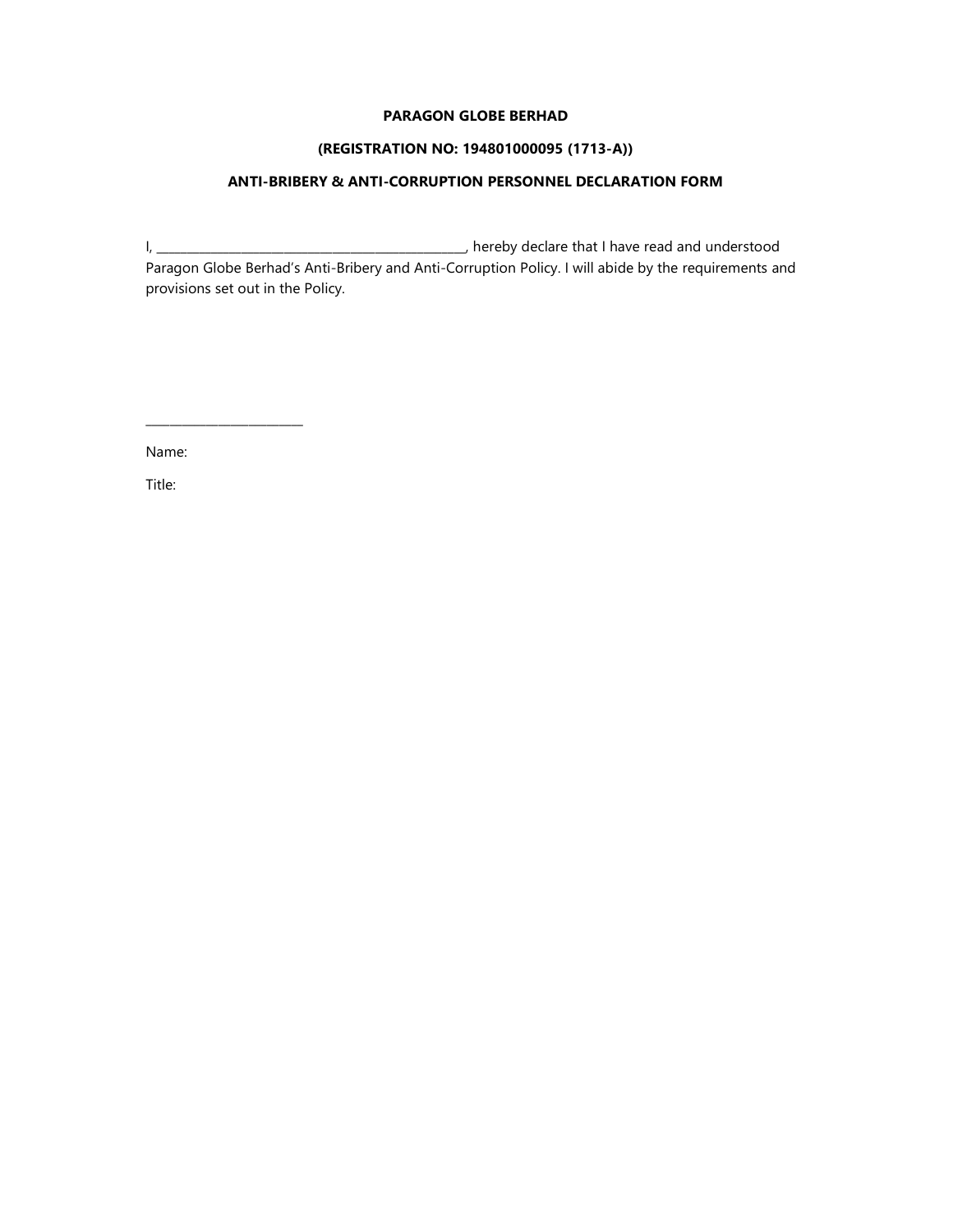#### PARAGON GLOBE BERHAD

### (REGISTRATION NO: 194801000095 (1713-A))

# ANTI-BRIBERY & ANTI-CORRUPTION PERSONNEL DECLARATION FORM

I, \_\_\_\_\_\_\_\_\_\_\_\_\_\_\_\_\_\_\_\_\_\_\_\_\_\_\_\_\_\_\_\_\_\_\_\_\_\_\_\_\_\_\_\_\_\_\_\_\_\_\_, hereby declare that I have read and understood Paragon Globe Berhad's Anti-Bribery and Anti-Corruption Policy. I will abide by the requirements and provisions set out in the Policy.

Name:

\_\_\_\_\_\_\_\_\_\_\_\_\_\_\_\_\_\_\_\_\_\_\_\_\_\_

Title: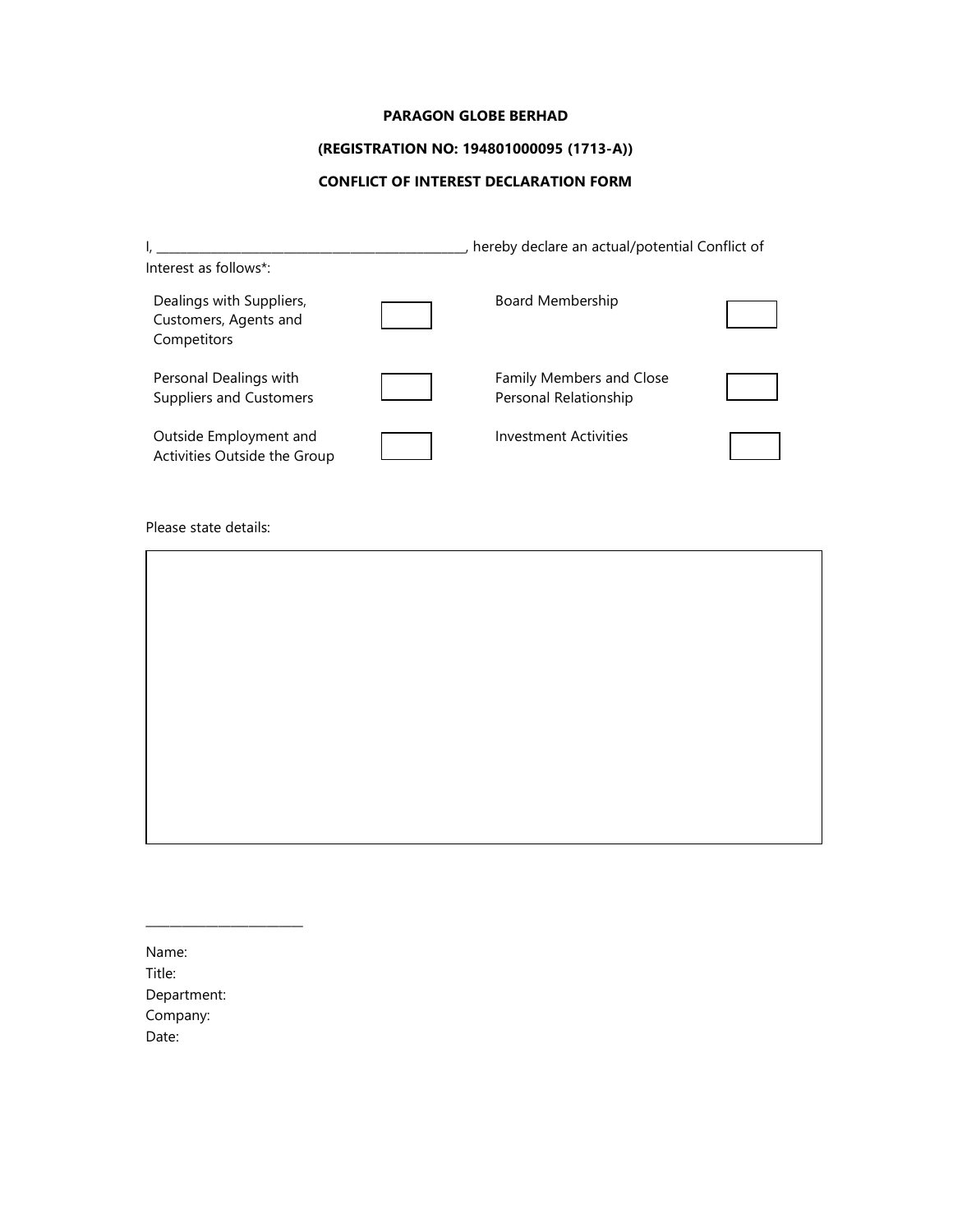#### PARAGON GLOBE BERHAD

# (REGISTRATION NO: 194801000095 (1713-A))

# CONFLICT OF INTEREST DECLARATION FORM

|                                                                  | hereby declare an actual/potential Conflict of    |  |  |
|------------------------------------------------------------------|---------------------------------------------------|--|--|
| Interest as follows*:                                            |                                                   |  |  |
| Dealings with Suppliers,<br>Customers, Agents and<br>Competitors | Board Membership                                  |  |  |
| Personal Dealings with<br><b>Suppliers and Customers</b>         | Family Members and Close<br>Personal Relationship |  |  |
| Outside Employment and<br>Activities Outside the Group           | <b>Investment Activities</b>                      |  |  |

Please state details:

Name: Title: Department: Company: Date:

\_\_\_\_\_\_\_\_\_\_\_\_\_\_\_\_\_\_\_\_\_\_\_\_\_\_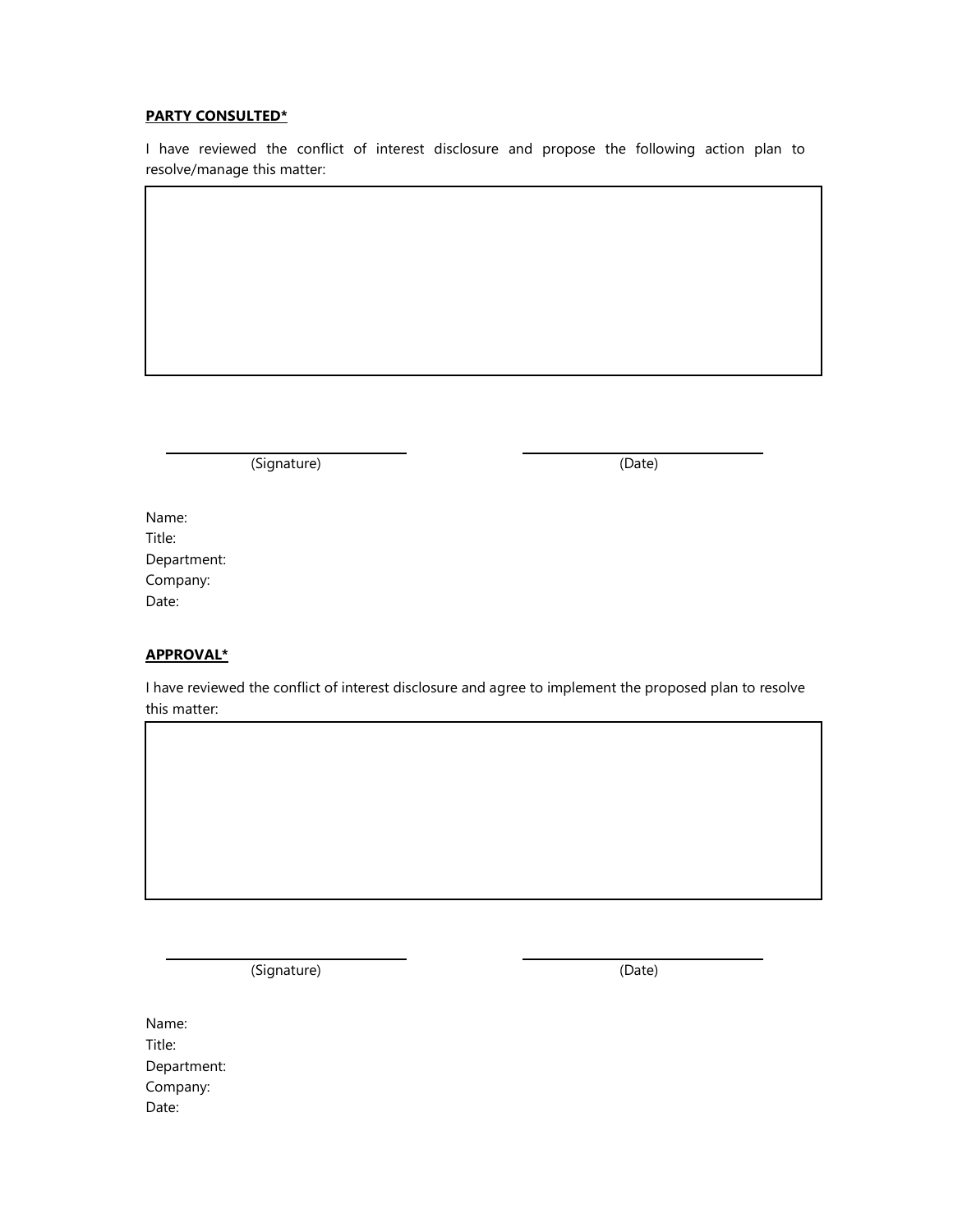### PARTY CONSULTED\*

I have reviewed the conflict of interest disclosure and propose the following action plan to resolve/manage this matter:

(Signature) (Date)

| Name:       |
|-------------|
| Title:      |
| Department: |
| Company:    |
| Date:       |

## APPROVAL\*

I have reviewed the conflict of interest disclosure and agree to implement the proposed plan to resolve this matter:

(Signature) (Date)

| Name:       |
|-------------|
| Title:      |
| Department: |
| Company:    |
| Date:       |